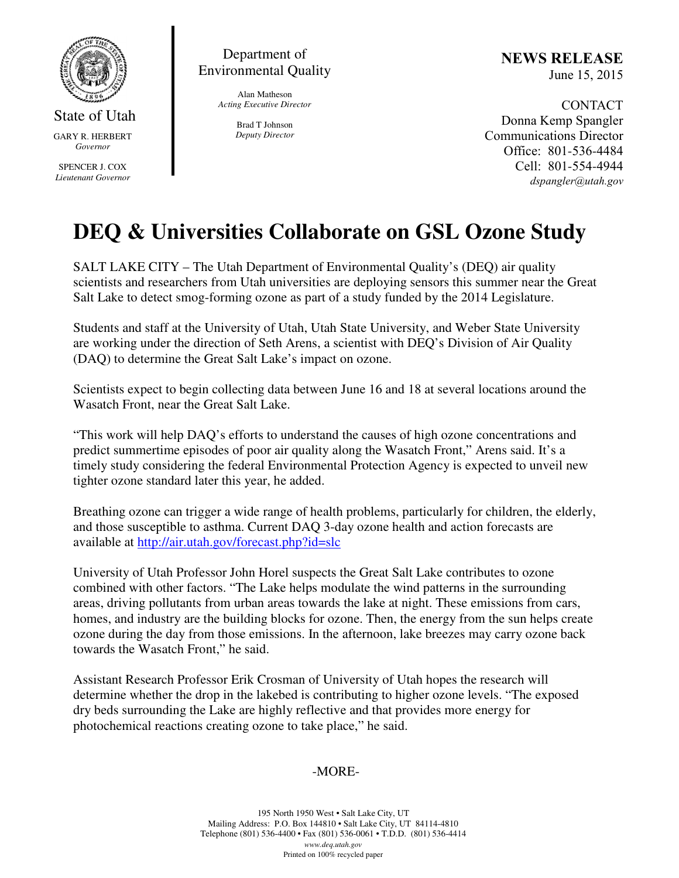

State of Utah GARY R. HERBERT *Governor* 

SPENCER J. COX *Lieutenant Governor* 

Department of Environmental Quality

> Alan Matheson *Acting Executive Director*

> > Brad T Johnson *Deputy Director*

NEWS RELEASE June 15, 2015

CONTACT Donna Kemp Spangler Communications Director Office: 801-536-4484 Cell: 801-554-4944 dspangler@utah.gov

# **DEQ & Universities Collaborate on GSL Ozone Study**

SALT LAKE CITY – The Utah Department of Environmental Quality's (DEQ) air quality scientists and researchers from Utah universities are deploying sensors this summer near the Great Salt Lake to detect smog-forming ozone as part of a study funded by the 2014 Legislature.

Students and staff at the University of Utah, Utah State University, and Weber State University are working under the direction of Seth Arens, a scientist with DEQ's Division of Air Quality (DAQ) to determine the Great Salt Lake's impact on ozone.

Scientists expect to begin collecting data between June 16 and 18 at several locations around the Wasatch Front, near the Great Salt Lake.

"This work will help DAQ's efforts to understand the causes of high ozone concentrations and predict summertime episodes of poor air quality along the Wasatch Front," Arens said. It's a timely study considering the federal Environmental Protection Agency is expected to unveil new tighter ozone standard later this year, he added.

Breathing ozone can trigger a wide range of health problems, particularly for children, the elderly, and those susceptible to asthma. Current DAQ 3-day ozone health and action forecasts are available at http://air.utah.gov/forecast.php?id=slc

University of Utah Professor John Horel suspects the Great Salt Lake contributes to ozone combined with other factors. "The Lake helps modulate the wind patterns in the surrounding areas, driving pollutants from urban areas towards the lake at night. These emissions from cars, homes, and industry are the building blocks for ozone. Then, the energy from the sun helps create ozone during the day from those emissions. In the afternoon, lake breezes may carry ozone back towards the Wasatch Front," he said.

Assistant Research Professor Erik Crosman of University of Utah hopes the research will determine whether the drop in the lakebed is contributing to higher ozone levels. "The exposed dry beds surrounding the Lake are highly reflective and that provides more energy for photochemical reactions creating ozone to take place," he said.

# -MORE-

195 North 1950 West • Salt Lake City, UT Mailing Address: P.O. Box 144810 • Salt Lake City, UT 84114-4810 Telephone (801) 536-4400 • Fax (801) 536-0061 • T.D.D. (801) 536-4414 *www.deq.utah.gov*  Printed on 100% recycled paper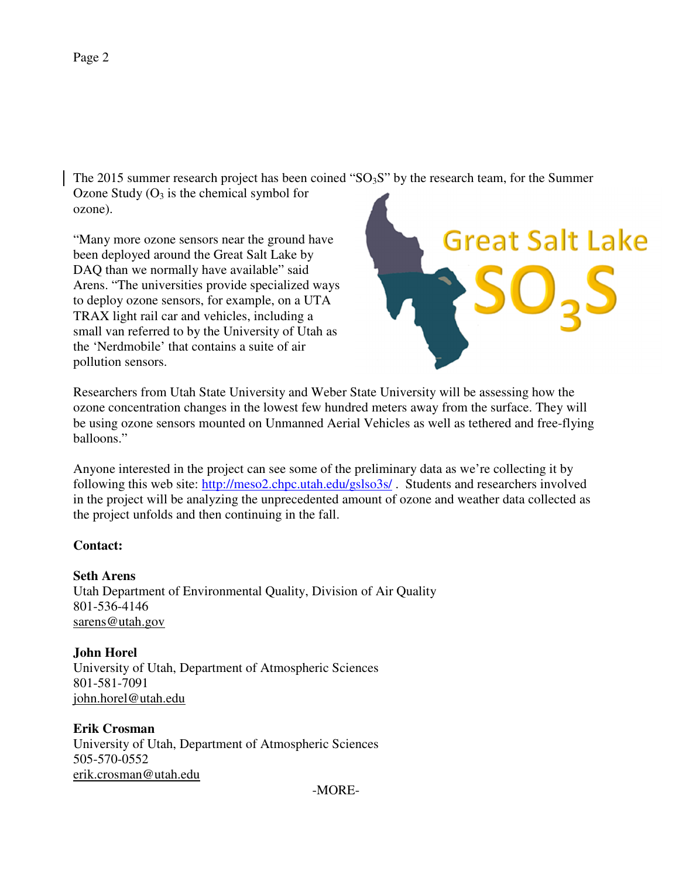The 2015 summer research project has been coined " $SO<sub>3</sub>S$ " by the research team, for the Summer Ozone Study  $(O_3$  is the chemical symbol for ozone).

"Many more ozone sensors near the ground have been deployed around the Great Salt Lake by DAQ than we normally have available" said Arens. "The universities provide specialized ways to deploy ozone sensors, for example, on a UTA TRAX light rail car and vehicles, including a small van referred to by the University of Utah as the 'Nerdmobile' that contains a suite of air pollution sensors.



Researchers from Utah State University and Weber State University will be assessing how the ozone concentration changes in the lowest few hundred meters away from the surface. They will be using ozone sensors mounted on Unmanned Aerial Vehicles as well as tethered and free-flying balloons."

Anyone interested in the project can see some of the preliminary data as we're collecting it by following this web site: http://meso2.chpc.utah.edu/gslso3s/ . Students and researchers involved in the project will be analyzing the unprecedented amount of ozone and weather data collected as the project unfolds and then continuing in the fall.

## **Contact:**

## **Seth Arens**

Utah Department of Environmental Quality, Division of Air Quality 801-536-4146 sarens@utah.gov

**John Horel**  University of Utah, Department of Atmospheric Sciences 801-581-7091 john.horel@utah.edu

**Erik Crosman**  University of Utah, Department of Atmospheric Sciences 505-570-0552 erik.crosman@utah.edu